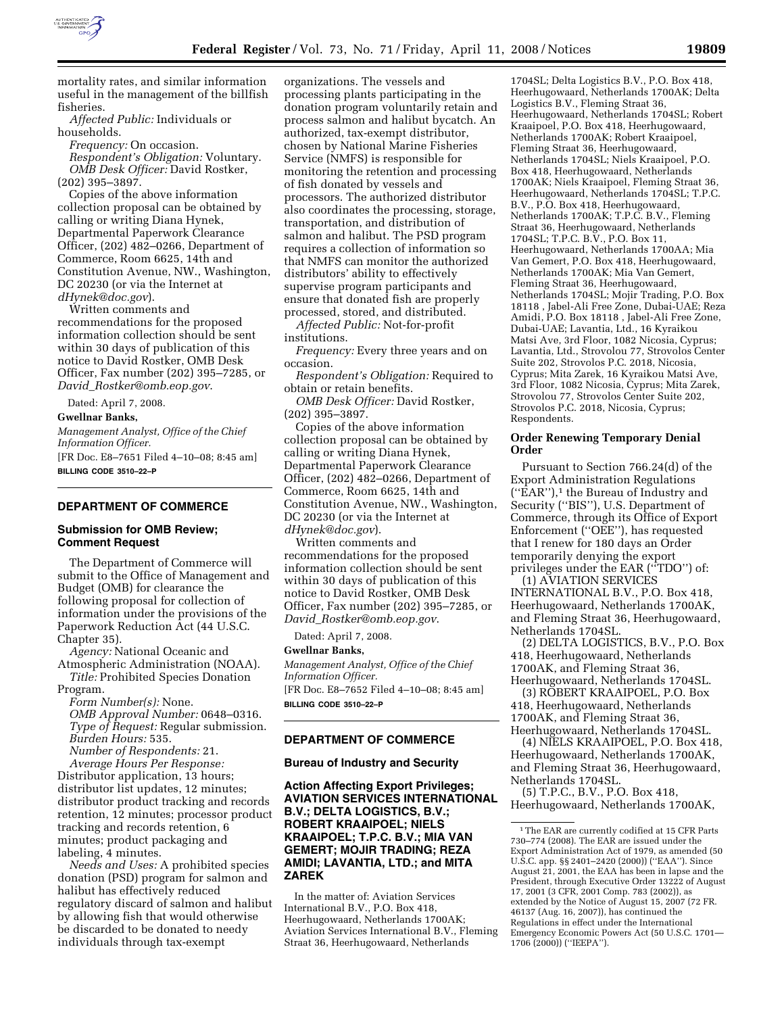

mortality rates, and similar information useful in the management of the billfish fisheries.

*Affected Public:* Individuals or households.

*Frequency:* On occasion. *Respondent's Obligation:* Voluntary. *OMB Desk Officer:* David Rostker, (202) 395–3897.

Copies of the above information collection proposal can be obtained by calling or writing Diana Hynek, Departmental Paperwork Clearance Officer, (202) 482–0266, Department of Commerce, Room 6625, 14th and Constitution Avenue, NW., Washington, DC 20230 (or via the Internet at *dHynek@doc.gov*).

Written comments and recommendations for the proposed information collection should be sent within 30 days of publication of this notice to David Rostker, OMB Desk Officer, Fax number (202) 395–7285, or *David*\_*Rostker@omb.eop.gov*.

Dated: April 7, 2008.

**Gwellnar Banks,** 

*Management Analyst, Office of the Chief Information Officer.* 

[FR Doc. E8–7651 Filed 4–10–08; 8:45 am] **BILLING CODE 3510–22–P** 

# **DEPARTMENT OF COMMERCE**

### **Submission for OMB Review; Comment Request**

The Department of Commerce will submit to the Office of Management and Budget (OMB) for clearance the following proposal for collection of information under the provisions of the Paperwork Reduction Act (44 U.S.C. Chapter 35).

*Agency:* National Oceanic and Atmospheric Administration (NOAA). *Title:* Prohibited Species Donation Program.

*Form Number(s):* None. *OMB Approval Number:* 0648–0316. *Type of Request:* Regular submission. *Burden Hours:* 535. *Number of Respondents:* 21.

*Average Hours Per Response:* 

Distributor application, 13 hours; distributor list updates, 12 minutes; distributor product tracking and records retention, 12 minutes; processor product tracking and records retention, 6 minutes; product packaging and labeling, 4 minutes.

*Needs and Uses:* A prohibited species donation (PSD) program for salmon and halibut has effectively reduced regulatory discard of salmon and halibut by allowing fish that would otherwise be discarded to be donated to needy individuals through tax-exempt

organizations. The vessels and processing plants participating in the donation program voluntarily retain and process salmon and halibut bycatch. An authorized, tax-exempt distributor, chosen by National Marine Fisheries Service (NMFS) is responsible for monitoring the retention and processing of fish donated by vessels and processors. The authorized distributor also coordinates the processing, storage, transportation, and distribution of salmon and halibut. The PSD program requires a collection of information so that NMFS can monitor the authorized distributors' ability to effectively supervise program participants and ensure that donated fish are properly processed, stored, and distributed.

*Affected Public:* Not-for-profit institutions.

*Frequency:* Every three years and on occasion.

*Respondent's Obligation:* Required to obtain or retain benefits.

*OMB Desk Officer:* David Rostker, (202) 395–3897.

Copies of the above information collection proposal can be obtained by calling or writing Diana Hynek, Departmental Paperwork Clearance Officer, (202) 482–0266, Department of Commerce, Room 6625, 14th and Constitution Avenue, NW., Washington, DC 20230 (or via the Internet at *dHynek@doc.gov*).

Written comments and recommendations for the proposed information collection should be sent within 30 days of publication of this notice to David Rostker, OMB Desk Officer, Fax number (202) 395–7285, or *David*\_*Rostker@omb.eop.gov*.

Dated: April 7, 2008.

**Gwellnar Banks,**  *Management Analyst, Office of the Chief Information Officer.*  [FR Doc. E8–7652 Filed 4–10–08; 8:45 am] **BILLING CODE 3510–22–P** 

## **DEPARTMENT OF COMMERCE**

### **Bureau of Industry and Security**

**Action Affecting Export Privileges; AVIATION SERVICES INTERNATIONAL B.V.; DELTA LOGISTICS, B.V.; ROBERT KRAAIPOEL; NIELS KRAAIPOEL; T.P.C. B.V.; MIA VAN GEMERT; MOJIR TRADING; REZA AMIDI; LAVANTIA, LTD.; and MITA ZAREK** 

In the matter of: Aviation Services International B.V., P.O. Box 418, Heerhugowaard, Netherlands 1700AK; Aviation Services International B.V., Fleming Straat 36, Heerhugowaard, Netherlands

1704SL; Delta Logistics B.V., P.O. Box 418, Heerhugowaard, Netherlands 1700AK; Delta Logistics B.V., Fleming Straat 36, Heerhugowaard, Netherlands 1704SL; Robert Kraaipoel, P.O. Box 418, Heerhugowaard, Netherlands 1700AK; Robert Kraaipoel, Fleming Straat 36, Heerhugowaard, Netherlands 1704SL; Niels Kraaipoel, P.O. Box 418, Heerhugowaard, Netherlands 1700AK; Niels Kraaipoel, Fleming Straat 36, Heerhugowaard, Netherlands 1704SL; T.P.C. B.V., P.O. Box 418, Heerhugowaard, Netherlands 1700AK; T.P.C. B.V., Fleming Straat 36, Heerhugowaard, Netherlands 1704SL; T.P.C. B.V., P.O. Box 11, Heerhugowaard, Netherlands 1700AA; Mia Van Gemert, P.O. Box 418, Heerhugowaard, Netherlands 1700AK; Mia Van Gemert, Fleming Straat 36, Heerhugowaard, Netherlands 1704SL; Mojir Trading, P.O. Box 18118 , Jabel-Ali Free Zone, Dubai-UAE; Reza Amidi, P.O. Box 18118 , Jabel-Ali Free Zone, Dubai-UAE; Lavantia, Ltd., 16 Kyraikou Matsi Ave, 3rd Floor, 1082 Nicosia, Cyprus; Lavantia, Ltd., Strovolou 77, Strovolos Center Suite 202, Strovolos P.C. 2018, Nicosia, Cyprus; Mita Zarek, 16 Kyraikou Matsi Ave, 3rd Floor, 1082 Nicosia, Cyprus; Mita Zarek, Strovolou 77, Strovolos Center Suite 202, Strovolos P.C. 2018, Nicosia, Cyprus; Respondents.

### **Order Renewing Temporary Denial Order**

Pursuant to Section 766.24(d) of the Export Administration Regulations (''EAR''),1 the Bureau of Industry and Security (''BIS''), U.S. Department of Commerce, through its Office of Export Enforcement (''OEE''), has requested that I renew for 180 days an Order temporarily denying the export privileges under the EAR (''TDO'') of:

(1) AVIATION SERVICES INTERNATIONAL B.V., P.O. Box 418, Heerhugowaard, Netherlands 1700AK, and Fleming Straat 36, Heerhugowaard, Netherlands 1704SL.

(2) DELTA LOGISTICS, B.V., P.O. Box 418, Heerhugowaard, Netherlands 1700AK, and Fleming Straat 36, Heerhugowaard, Netherlands 1704SL.

(3) ROBERT KRAAIPOEL, P.O. Box 418, Heerhugowaard, Netherlands 1700AK, and Fleming Straat 36, Heerhugowaard, Netherlands 1704SL.

(4) NIELS KRAAIPOEL, P.O. Box 418, Heerhugowaard, Netherlands 1700AK, and Fleming Straat 36, Heerhugowaard, Netherlands 1704SL.

(5) T.P.C., B.V., P.O. Box 418, Heerhugowaard, Netherlands 1700AK,

<sup>1</sup>The EAR are currently codified at 15 CFR Parts 730–774 (2008). The EAR are issued under the Export Administration Act of 1979, as amended (50 U.S.C. app. §§ 2401–2420 (2000)) (''EAA''). Since August 21, 2001, the EAA has been in lapse and the President, through Executive Order 13222 of August 17, 2001 (3 CFR, 2001 Comp. 783 (2002)), as extended by the Notice of August 15, 2007 (72 FR. 46137 (Aug. 16, 2007)), has continued the Regulations in effect under the International Emergency Economic Powers Act (50 U.S.C. 1701— 1706 (2000)) (''IEEPA'').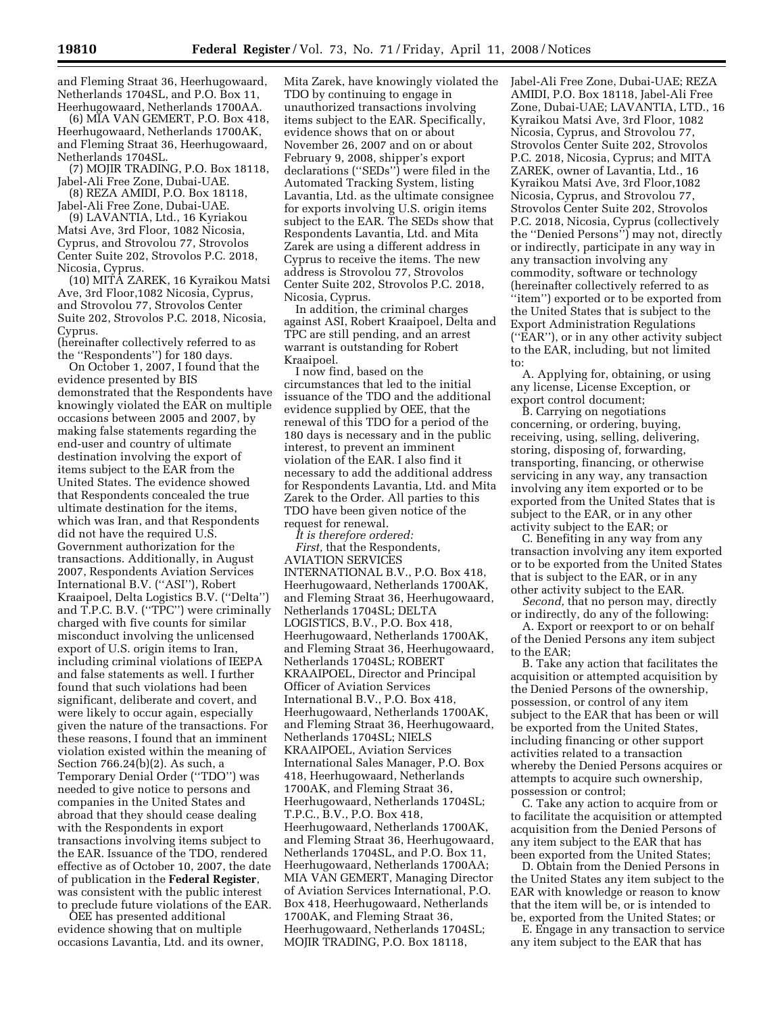and Fleming Straat 36, Heerhugowaard, Netherlands 1704SL, and P.O. Box 11, Heerhugowaard, Netherlands 1700AA.

(6) MIA VAN GEMERT, P.O. Box 418, Heerhugowaard, Netherlands 1700AK, and Fleming Straat 36, Heerhugowaard, Netherlands 1704SL.

(7) MOJIR TRADING, P.O. Box 18118, Jabel-Ali Free Zone, Dubai-UAE.

(8) REZA AMIDI, P.O. Box 18118, Jabel-Ali Free Zone, Dubai-UAE.

(9) LAVANTIA, Ltd., 16 Kyriakou Matsi Ave, 3rd Floor, 1082 Nicosia, Cyprus, and Strovolou 77, Strovolos Center Suite 202, Strovolos P.C. 2018, Nicosia, Cyprus.

(10) MITA ZAREK, 16 Kyraikou Matsi Ave, 3rd Floor,1082 Nicosia, Cyprus, and Strovolou 77, Strovolos Center Suite 202, Strovolos P.C. 2018, Nicosia, Cyprus.

(hereinafter collectively referred to as the ''Respondents'') for 180 days.

On October 1, 2007, I found that the evidence presented by BIS demonstrated that the Respondents have knowingly violated the EAR on multiple occasions between 2005 and 2007, by making false statements regarding the end-user and country of ultimate destination involving the export of items subject to the EAR from the United States. The evidence showed that Respondents concealed the true ultimate destination for the items, which was Iran, and that Respondents did not have the required U.S. Government authorization for the transactions. Additionally, in August 2007, Respondents Aviation Services International B.V. (''ASI''), Robert Kraaipoel, Delta Logistics B.V. (''Delta'') and T.P.C. B.V. (''TPC'') were criminally charged with five counts for similar misconduct involving the unlicensed export of U.S. origin items to Iran, including criminal violations of IEEPA and false statements as well. I further found that such violations had been significant, deliberate and covert, and were likely to occur again, especially given the nature of the transactions. For these reasons, I found that an imminent violation existed within the meaning of Section 766.24(b)(2). As such, a Temporary Denial Order (''TDO'') was needed to give notice to persons and companies in the United States and abroad that they should cease dealing with the Respondents in export transactions involving items subject to the EAR. Issuance of the TDO, rendered effective as of October 10, 2007, the date of publication in the **Federal Register**, was consistent with the public interest to preclude future violations of the EAR.

OEE has presented additional evidence showing that on multiple occasions Lavantia, Ltd. and its owner, Mita Zarek, have knowingly violated the TDO by continuing to engage in unauthorized transactions involving items subject to the EAR. Specifically, evidence shows that on or about November 26, 2007 and on or about February 9, 2008, shipper's export declarations (''SEDs'') were filed in the Automated Tracking System, listing Lavantia, Ltd. as the ultimate consignee for exports involving U.S. origin items subject to the EAR. The SEDs show that Respondents Lavantia, Ltd. and Mita Zarek are using a different address in Cyprus to receive the items. The new address is Strovolou 77, Strovolos Center Suite 202, Strovolos P.C. 2018, Nicosia, Cyprus.

In addition, the criminal charges against ASI, Robert Kraaipoel, Delta and TPC are still pending, and an arrest warrant is outstanding for Robert Kraaipoel.

I now find, based on the circumstances that led to the initial issuance of the TDO and the additional evidence supplied by OEE, that the renewal of this TDO for a period of the 180 days is necessary and in the public interest, to prevent an imminent violation of the EAR. I also find it necessary to add the additional address for Respondents Lavantia, Ltd. and Mita Zarek to the Order. All parties to this TDO have been given notice of the request for renewal.

*It is therefore ordered: First,* that the Respondents, AVIATION SERVICES INTERNATIONAL B.V., P.O. Box 418, Heerhugowaard, Netherlands 1700AK, and Fleming Straat 36, Heerhugowaard, Netherlands 1704SL; DELTA LOGISTICS, B.V., P.O. Box 418, Heerhugowaard, Netherlands 1700AK, and Fleming Straat 36, Heerhugowaard, Netherlands 1704SL; ROBERT KRAAIPOEL, Director and Principal Officer of Aviation Services International B.V., P.O. Box 418, Heerhugowaard, Netherlands 1700AK, and Fleming Straat 36, Heerhugowaard, Netherlands 1704SL; NIELS KRAAIPOEL, Aviation Services International Sales Manager, P.O. Box 418, Heerhugowaard, Netherlands 1700AK, and Fleming Straat 36, Heerhugowaard, Netherlands 1704SL; T.P.C., B.V., P.O. Box 418, Heerhugowaard, Netherlands 1700AK, and Fleming Straat 36, Heerhugowaard, Netherlands 1704SL, and P.O. Box 11, Heerhugowaard, Netherlands 1700AA; MIA VAN GEMERT, Managing Director of Aviation Services International, P.O. Box 418, Heerhugowaard, Netherlands 1700AK, and Fleming Straat 36, Heerhugowaard, Netherlands 1704SL; MOJIR TRADING, P.O. Box 18118,

Jabel-Ali Free Zone, Dubai-UAE; REZA AMIDI, P.O. Box 18118, Jabel-Ali Free Zone, Dubai-UAE; LAVANTIA, LTD., 16 Kyraikou Matsi Ave, 3rd Floor, 1082 Nicosia, Cyprus, and Strovolou 77, Strovolos Center Suite 202, Strovolos P.C. 2018, Nicosia, Cyprus; and MITA ZAREK, owner of Lavantia, Ltd., 16 Kyraikou Matsi Ave, 3rd Floor,1082 Nicosia, Cyprus, and Strovolou 77, Strovolos Center Suite 202, Strovolos P.C. 2018, Nicosia, Cyprus (collectively the ''Denied Persons'') may not, directly or indirectly, participate in any way in any transaction involving any commodity, software or technology (hereinafter collectively referred to as ''item'') exported or to be exported from the United States that is subject to the Export Administration Regulations (''EAR''), or in any other activity subject to the EAR, including, but not limited to:

A. Applying for, obtaining, or using any license, License Exception, or export control document;

B. Carrying on negotiations concerning, or ordering, buying, receiving, using, selling, delivering, storing, disposing of, forwarding, transporting, financing, or otherwise servicing in any way, any transaction involving any item exported or to be exported from the United States that is subject to the EAR, or in any other activity subject to the EAR; or

C. Benefiting in any way from any transaction involving any item exported or to be exported from the United States that is subject to the EAR, or in any other activity subject to the EAR.

*Second,* that no person may, directly or indirectly, do any of the following:

A. Export or reexport to or on behalf of the Denied Persons any item subject to the EAR;

B. Take any action that facilitates the acquisition or attempted acquisition by the Denied Persons of the ownership, possession, or control of any item subject to the EAR that has been or will be exported from the United States, including financing or other support activities related to a transaction whereby the Denied Persons acquires or attempts to acquire such ownership, possession or control;

C. Take any action to acquire from or to facilitate the acquisition or attempted acquisition from the Denied Persons of any item subject to the EAR that has been exported from the United States;

D. Obtain from the Denied Persons in the United States any item subject to the EAR with knowledge or reason to know that the item will be, or is intended to be, exported from the United States; or

E. Engage in any transaction to service any item subject to the EAR that has